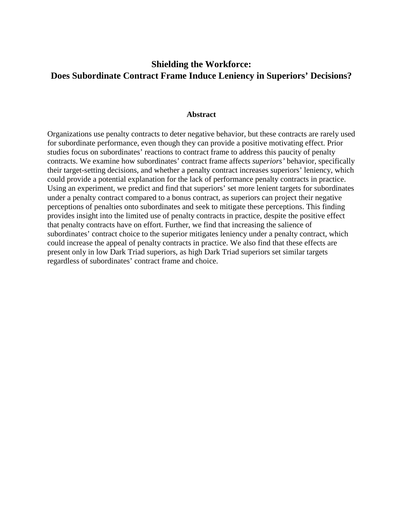# **Shielding the Workforce: Does Subordinate Contract Frame Induce Leniency in Superiors' Decisions?**

#### **Abstract**

Organizations use penalty contracts to deter negative behavior, but these contracts are rarely used for subordinate performance, even though they can provide a positive motivating effect. Prior studies focus on subordinates' reactions to contract frame to address this paucity of penalty contracts. We examine how subordinates' contract frame affects *superiors'* behavior, specifically their target-setting decisions, and whether a penalty contract increases superiors' leniency, which could provide a potential explanation for the lack of performance penalty contracts in practice. Using an experiment, we predict and find that superiors' set more lenient targets for subordinates under a penalty contract compared to a bonus contract, as superiors can project their negative perceptions of penalties onto subordinates and seek to mitigate these perceptions. This finding provides insight into the limited use of penalty contracts in practice, despite the positive effect that penalty contracts have on effort. Further, we find that increasing the salience of subordinates' contract choice to the superior mitigates leniency under a penalty contract, which could increase the appeal of penalty contracts in practice. We also find that these effects are present only in low Dark Triad superiors, as high Dark Triad superiors set similar targets regardless of subordinates' contract frame and choice.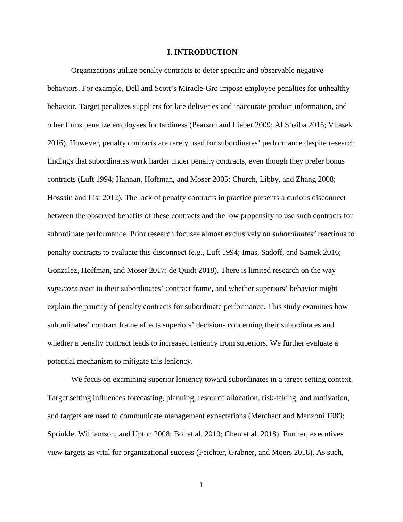#### **I. INTRODUCTION**

Organizations utilize penalty contracts to deter specific and observable negative behaviors. For example, Dell and Scott's Miracle-Gro impose employee penalties for unhealthy behavior, Target penalizes suppliers for late deliveries and inaccurate product information, and other firms penalize employees for tardiness (Pearson and Lieber 2009; Al Shaiba 2015; Vitasek 2016). However, penalty contracts are rarely used for subordinates' performance despite research findings that subordinates work harder under penalty contracts, even though they prefer bonus contracts (Luft 1994; [Hannan, Hoffman, and Moser](#page-29-0) 2005; [Church, Libby, and Zhang](#page-28-0) 2008; [Hossain and List 2012\)](#page-29-1). The lack of penalty contracts in practice presents a curious disconnect between the observed benefits of these contracts and the low propensity to use such contracts for subordinate performance. Prior research focuses almost exclusively on *subordinates'* reactions to penalty contracts to evaluate this disconnect (e.g., Luft 1994; Imas, Sadoff, and Samek 2016; Gonzalez, Hoffman, and Moser 2017; de Quidt 2018). There is limited research on the way *superiors* react to their subordinates' contract frame, and whether superiors' behavior might explain the paucity of penalty contracts for subordinate performance. This study examines how subordinates' contract frame affects superiors' decisions concerning their subordinates and whether a penalty contract leads to increased leniency from superiors. We further evaluate a potential mechanism to mitigate this leniency.

We focus on examining superior leniency toward subordinates in a target-setting context. Target setting influences forecasting, planning, resource allocation, risk-taking, and motivation, and targets are used to communicate management expectations (Merchant and Manzoni 1989; Sprinkle, Williamson, and Upton 2008; Bol et al. 2010; Chen et al. 2018). Further, executives view targets as vital for organizational success (Feichter, Grabner, and Moers 2018). As such,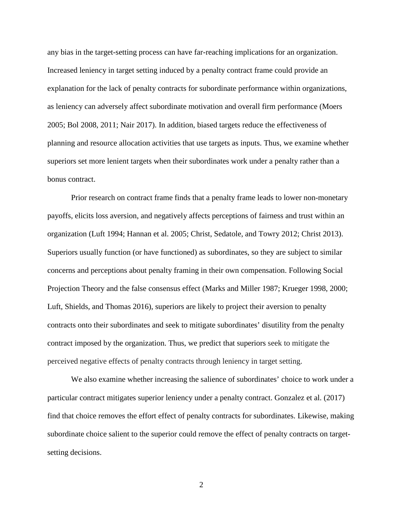any bias in the target-setting process can have far-reaching implications for an organization. Increased leniency in target setting induced by a penalty contract frame could provide an explanation for the lack of penalty contracts for subordinate performance within organizations, as leniency can adversely affect subordinate motivation and overall firm performance (Moers 2005; Bol 2008, 2011; Nair 2017). In addition, biased targets reduce the effectiveness of planning and resource allocation activities that use targets as inputs. Thus, we examine whether superiors set more lenient targets when their subordinates work under a penalty rather than a bonus contract.

Prior research on contract frame finds that a penalty frame leads to lower non-monetary payoffs, elicits loss aversion, and negatively affects perceptions of fairness and trust within an organization (Luft 1994; Hannan et al. 2005; Christ, Sedatole, and Towry 2012; Christ 2013). Superiors usually function (or have functioned) as subordinates, so they are subject to similar concerns and perceptions about penalty framing in their own compensation. Following Social Projection Theory and the false consensus effect (Marks and Miller 1987; Krueger 1998, 2000; Luft, Shields, and Thomas 2016), superiors are likely to project their aversion to penalty contracts onto their subordinates and seek to mitigate subordinates' disutility from the penalty contract imposed by the organization. Thus, we predict that superiors seek to mitigate the perceived negative effects of penalty contracts through leniency in target setting.

We also examine whether increasing the salience of subordinates' choice to work under a particular contract mitigates superior leniency under a penalty contract. Gonzalez et al. (2017) find that choice removes the effort effect of penalty contracts for subordinates. Likewise, making subordinate choice salient to the superior could remove the effect of penalty contracts on targetsetting decisions.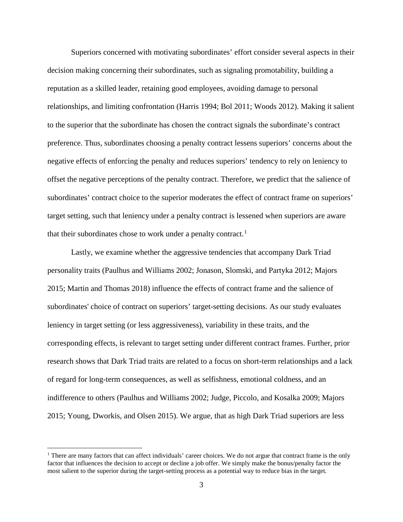Superiors concerned with motivating subordinates' effort consider several aspects in their decision making concerning their subordinates, such as signaling promotability, building a reputation as a skilled leader, retaining good employees, avoiding damage to personal relationships, and limiting confrontation (Harris 1994; Bol 2011; Woods 2012). Making it salient to the superior that the subordinate has chosen the contract signals the subordinate's contract preference. Thus, subordinates choosing a penalty contract lessens superiors' concerns about the negative effects of enforcing the penalty and reduces superiors' tendency to rely on leniency to offset the negative perceptions of the penalty contract. Therefore, we predict that the salience of subordinates' contract choice to the superior moderates the effect of contract frame on superiors' target setting, such that leniency under a penalty contract is lessened when superiors are aware that their subordinates chose to work under a penalty contract.<sup>[1](#page-3-0)</sup>

Lastly, we examine whether the aggressive tendencies that accompany Dark Triad personality traits (Paulhus and Williams 2002; Jonason, Slomski, and Partyka 2012; Majors 2015; Martin and Thomas 2018) influence the effects of contract frame and the salience of subordinates' choice of contract on superiors' target-setting decisions. As our study evaluates leniency in target setting (or less aggressiveness), variability in these traits, and the corresponding effects, is relevant to target setting under different contract frames. Further, prior research shows that Dark Triad traits are related to a focus on short-term relationships and a lack of regard for long-term consequences, as well as selfishness, emotional coldness, and an indifference to others (Paulhus and Williams 2002; Judge, Piccolo, and Kosalka 2009; Majors 2015; Young, Dworkis, and Olsen 2015). We argue, that as high Dark Triad superiors are less

<span id="page-3-0"></span><sup>&</sup>lt;sup>1</sup> There are many factors that can affect individuals' career choices. We do not argue that contract frame is the only factor that influences the decision to accept or decline a job offer. We simply make the bonus/penalty factor the most salient to the superior during the target-setting process as a potential way to reduce bias in the target.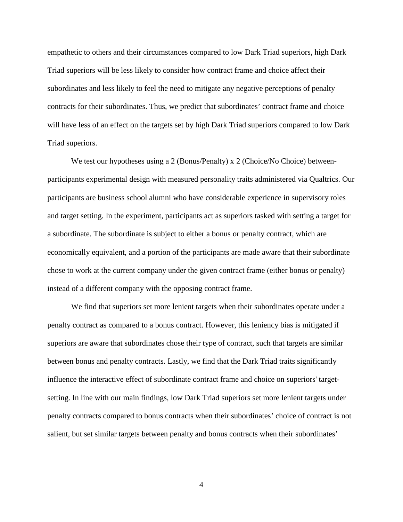empathetic to others and their circumstances compared to low Dark Triad superiors, high Dark Triad superiors will be less likely to consider how contract frame and choice affect their subordinates and less likely to feel the need to mitigate any negative perceptions of penalty contracts for their subordinates. Thus, we predict that subordinates' contract frame and choice will have less of an effect on the targets set by high Dark Triad superiors compared to low Dark Triad superiors.

We test our hypotheses using a 2 (Bonus/Penalty) x 2 (Choice/No Choice) betweenparticipants experimental design with measured personality traits administered via Qualtrics. Our participants are business school alumni who have considerable experience in supervisory roles and target setting. In the experiment, participants act as superiors tasked with setting a target for a subordinate. The subordinate is subject to either a bonus or penalty contract, which are economically equivalent, and a portion of the participants are made aware that their subordinate chose to work at the current company under the given contract frame (either bonus or penalty) instead of a different company with the opposing contract frame.

We find that superiors set more lenient targets when their subordinates operate under a penalty contract as compared to a bonus contract. However, this leniency bias is mitigated if superiors are aware that subordinates chose their type of contract, such that targets are similar between bonus and penalty contracts. Lastly, we find that the Dark Triad traits significantly influence the interactive effect of subordinate contract frame and choice on superiors' targetsetting. In line with our main findings, low Dark Triad superiors set more lenient targets under penalty contracts compared to bonus contracts when their subordinates' choice of contract is not salient, but set similar targets between penalty and bonus contracts when their subordinates'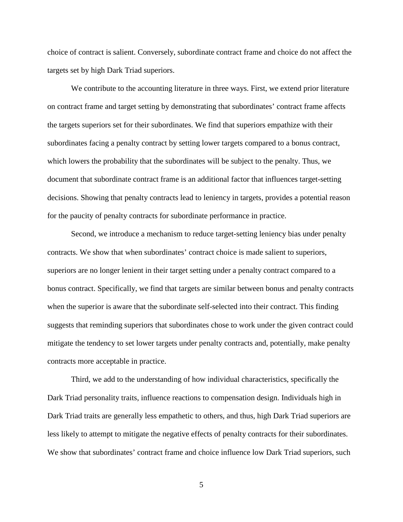choice of contract is salient. Conversely, subordinate contract frame and choice do not affect the targets set by high Dark Triad superiors.

We contribute to the accounting literature in three ways. First, we extend prior literature on contract frame and target setting by demonstrating that subordinates' contract frame affects the targets superiors set for their subordinates. We find that superiors empathize with their subordinates facing a penalty contract by setting lower targets compared to a bonus contract, which lowers the probability that the subordinates will be subject to the penalty. Thus, we document that subordinate contract frame is an additional factor that influences target-setting decisions. Showing that penalty contracts lead to leniency in targets, provides a potential reason for the paucity of penalty contracts for subordinate performance in practice.

Second, we introduce a mechanism to reduce target-setting leniency bias under penalty contracts. We show that when subordinates' contract choice is made salient to superiors, superiors are no longer lenient in their target setting under a penalty contract compared to a bonus contract. Specifically, we find that targets are similar between bonus and penalty contracts when the superior is aware that the subordinate self-selected into their contract. This finding suggests that reminding superiors that subordinates chose to work under the given contract could mitigate the tendency to set lower targets under penalty contracts and, potentially, make penalty contracts more acceptable in practice.

Third, we add to the understanding of how individual characteristics, specifically the Dark Triad personality traits, influence reactions to compensation design. Individuals high in Dark Triad traits are generally less empathetic to others, and thus, high Dark Triad superiors are less likely to attempt to mitigate the negative effects of penalty contracts for their subordinates. We show that subordinates' contract frame and choice influence low Dark Triad superiors, such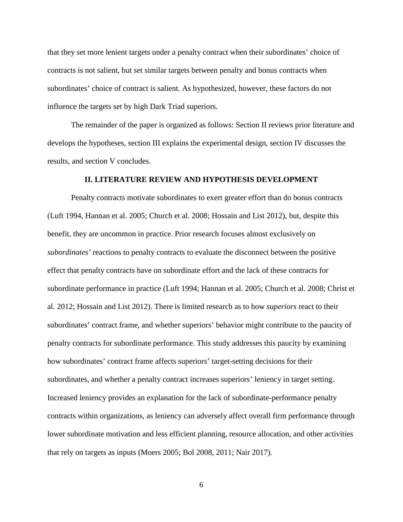that they set more lenient targets under a penalty contract when their subordinates' choice of contracts is not salient, but set similar targets between penalty and bonus contracts when subordinates' choice of contract is salient. As hypothesized, however, these factors do not influence the targets set by high Dark Triad superiors.

The remainder of the paper is organized as follows: Section II reviews prior literature and develops the hypotheses, section III explains the experimental design, section IV discusses the results, and section V concludes.

#### **II. LITERATURE REVIEW AND HYPOTHESIS DEVELOPMENT**

Penalty contracts motivate subordinates to exert greater effort than do bonus contracts (Luft 1994, Hannan et al. 2005; Church et al. 2008; Hossain and List 2012), but, despite this benefit, they are uncommon in practice. Prior research focuses almost exclusively on *subordinates'* reactions to penalty contracts to evaluate the disconnect between the positive effect that penalty contracts have on subordinate effort and the lack of these contracts for subordinate performance in practice (Luft 1994; Hannan et al. 2005; Church et al. 2008; Christ et al. 2012; Hossain and List 2012). There is limited research as to how *superiors* react to their subordinates' contract frame, and whether superiors' behavior might contribute to the paucity of penalty contracts for subordinate performance. This study addresses this paucity by examining how subordinates' contract frame affects superiors' target-setting decisions for their subordinates, and whether a penalty contract increases superiors' leniency in target setting. Increased leniency provides an explanation for the lack of subordinate-performance penalty contracts within organizations, as leniency can adversely affect overall firm performance through lower subordinate motivation and less efficient planning, resource allocation, and other activities that rely on targets as inputs (Moers 2005; Bol 2008, 2011; Nair 2017).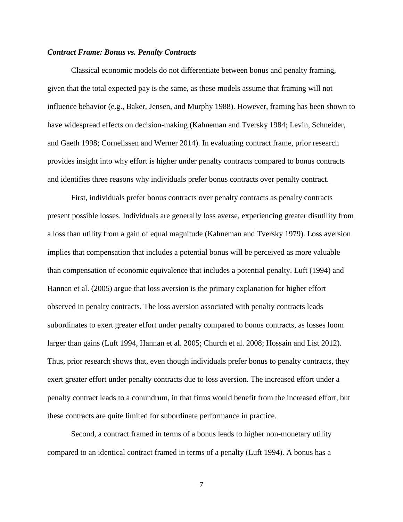#### *Contract Frame: Bonus vs. Penalty Contracts*

Classical economic models do not differentiate between bonus and penalty framing, given that the total expected pay is the same, as these models assume that framing will not influence behavior (e.g., Baker, Jensen, and Murphy 1988). However, framing has been shown to have widespread effects on decision-making (Kahneman and Tversky 1984; Levin, Schneider, and Gaeth 1998; Cornelissen and Werner 2014). In evaluating contract frame, prior research provides insight into why effort is higher under penalty contracts compared to bonus contracts and identifies three reasons why individuals prefer bonus contracts over penalty contract.

First, individuals prefer bonus contracts over penalty contracts as penalty contracts present possible losses. Individuals are generally loss averse, experiencing greater disutility from a loss than utility from a gain of equal magnitude (Kahneman and Tversky 1979). Loss aversion implies that compensation that includes a potential bonus will be perceived as more valuable than compensation of economic equivalence that includes a potential penalty. Luft (1994) and Hannan et al. (2005) argue that loss aversion is the primary explanation for higher effort observed in penalty contracts. The loss aversion associated with penalty contracts leads subordinates to exert greater effort under penalty compared to bonus contracts, as losses loom larger than gains (Luft 1994, Hannan et al. 2005; Church et al. 2008; Hossain and List 2012). Thus, prior research shows that, even though individuals prefer bonus to penalty contracts, they exert greater effort under penalty contracts due to loss aversion. The increased effort under a penalty contract leads to a conundrum, in that firms would benefit from the increased effort, but these contracts are quite limited for subordinate performance in practice.

Second, a contract framed in terms of a bonus leads to higher non-monetary utility compared to an identical contract framed in terms of a penalty (Luft 1994). A bonus has a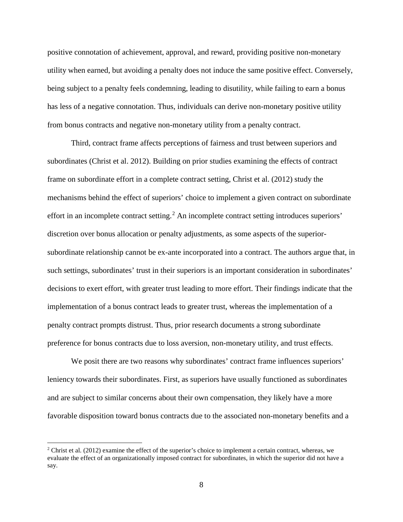positive connotation of achievement, approval, and reward, providing positive non-monetary utility when earned, but avoiding a penalty does not induce the same positive effect. Conversely, being subject to a penalty feels condemning, leading to disutility, while failing to earn a bonus has less of a negative connotation. Thus, individuals can derive non-monetary positive utility from bonus contracts and negative non-monetary utility from a penalty contract.

Third, contract frame affects perceptions of fairness and trust between superiors and subordinates (Christ et al. 2012). Building on prior studies examining the effects of contract frame on subordinate effort in a complete contract setting, Christ et al. (2012) study the mechanisms behind the effect of superiors' choice to implement a given contract on subordinate effort in an incomplete contract setting.<sup>[2](#page-8-0)</sup> An incomplete contract setting introduces superiors' discretion over bonus allocation or penalty adjustments, as some aspects of the superiorsubordinate relationship cannot be ex-ante incorporated into a contract. The authors argue that, in such settings, subordinates' trust in their superiors is an important consideration in subordinates' decisions to exert effort, with greater trust leading to more effort. Their findings indicate that the implementation of a bonus contract leads to greater trust, whereas the implementation of a penalty contract prompts distrust. Thus, prior research documents a strong subordinate preference for bonus contracts due to loss aversion, non-monetary utility, and trust effects.

We posit there are two reasons why subordinates' contract frame influences superiors' leniency towards their subordinates. First, as superiors have usually functioned as subordinates and are subject to similar concerns about their own compensation, they likely have a more favorable disposition toward bonus contracts due to the associated non-monetary benefits and a

<span id="page-8-0"></span><sup>&</sup>lt;sup>2</sup> Christ et al. (2012) examine the effect of the superior's choice to implement a certain contract, whereas, we evaluate the effect of an organizationally imposed contract for subordinates, in which the superior did not have a say.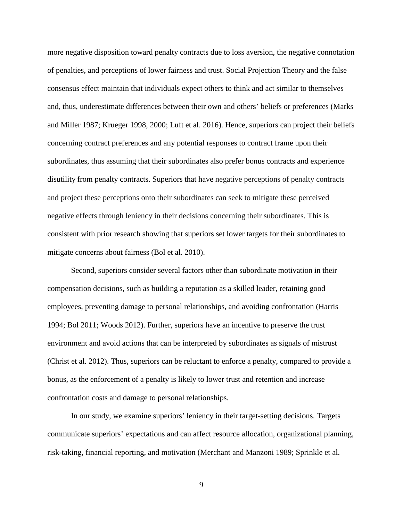more negative disposition toward penalty contracts due to loss aversion, the negative connotation of penalties, and perceptions of lower fairness and trust. Social Projection Theory and the false consensus effect maintain that individuals expect others to think and act similar to themselves and, thus, underestimate differences between their own and others' beliefs or preferences (Marks and Miller 1987; Krueger 1998, 2000; Luft et al. 2016). Hence, superiors can project their beliefs concerning contract preferences and any potential responses to contract frame upon their subordinates, thus assuming that their subordinates also prefer bonus contracts and experience disutility from penalty contracts. Superiors that have negative perceptions of penalty contracts and project these perceptions onto their subordinates can seek to mitigate these perceived negative effects through leniency in their decisions concerning their subordinates. This is consistent with prior research showing that superiors set lower targets for their subordinates to mitigate concerns about fairness (Bol et al. 2010).

Second, superiors consider several factors other than subordinate motivation in their compensation decisions, such as building a reputation as a skilled leader, retaining good employees, preventing damage to personal relationships, and avoiding confrontation (Harris 1994; Bol 2011; Woods 2012). Further, superiors have an incentive to preserve the trust environment and avoid actions that can be interpreted by subordinates as signals of mistrust (Christ et al. 2012). Thus, superiors can be reluctant to enforce a penalty, compared to provide a bonus, as the enforcement of a penalty is likely to lower trust and retention and increase confrontation costs and damage to personal relationships.

In our study, we examine superiors' leniency in their target-setting decisions. Targets communicate superiors' expectations and can affect resource allocation, organizational planning, risk-taking, financial reporting, and motivation (Merchant and Manzoni 1989; Sprinkle et al.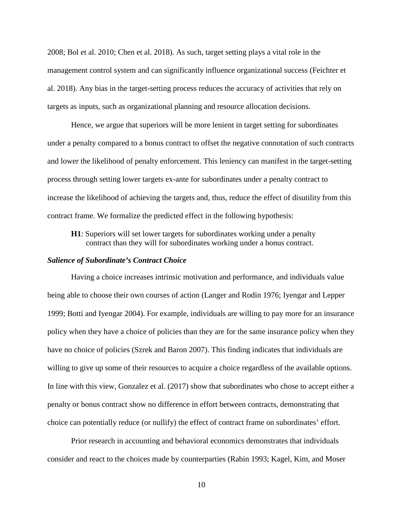2008; Bol et al. 2010; Chen et al. 2018). As such, target setting plays a vital role in the management control system and can significantly influence organizational success (Feichter et al. 2018). Any bias in the target-setting process reduces the accuracy of activities that rely on targets as inputs, such as organizational planning and resource allocation decisions.

Hence, we argue that superiors will be more lenient in target setting for subordinates under a penalty compared to a bonus contract to offset the negative connotation of such contracts and lower the likelihood of penalty enforcement. This leniency can manifest in the target-setting process through setting lower targets ex-ante for subordinates under a penalty contract to increase the likelihood of achieving the targets and, thus, reduce the effect of disutility from this contract frame. We formalize the predicted effect in the following hypothesis:

**H1**: Superiors will set lower targets for subordinates working under a penalty contract than they will for subordinates working under a bonus contract.

#### *Salience of Subordinate's Contract Choice*

Having a choice increases intrinsic motivation and performance, and individuals value being able to choose their own courses of action (Langer and Rodin 1976; Iyengar and Lepper 1999; Botti and Iyengar 2004). For example, individuals are willing to pay more for an insurance policy when they have a choice of policies than they are for the same insurance policy when they have no choice of policies (Szrek and Baron 2007). This finding indicates that individuals are willing to give up some of their resources to acquire a choice regardless of the available options. In line with this view, Gonzalez et al. (2017) show that subordinates who chose to accept either a penalty or bonus contract show no difference in effort between contracts, demonstrating that choice can potentially reduce (or nullify) the effect of contract frame on subordinates' effort.

Prior research in accounting and behavioral economics demonstrates that individuals consider and react to the choices made by counterparties (Rabin 1993; Kagel, Kim, and Moser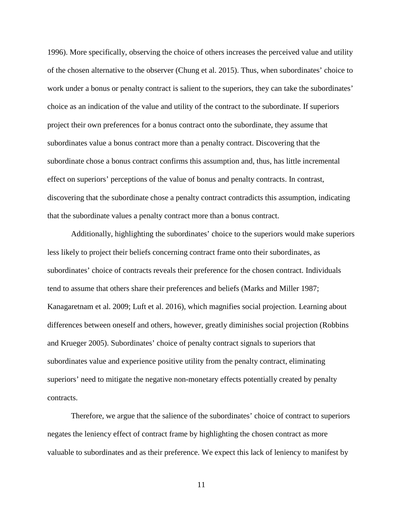1996). More specifically, observing the choice of others increases the perceived value and utility of the chosen alternative to the observer (Chung et al. 2015). Thus, when subordinates' choice to work under a bonus or penalty contract is salient to the superiors, they can take the subordinates' choice as an indication of the value and utility of the contract to the subordinate. If superiors project their own preferences for a bonus contract onto the subordinate, they assume that subordinates value a bonus contract more than a penalty contract. Discovering that the subordinate chose a bonus contract confirms this assumption and, thus, has little incremental effect on superiors' perceptions of the value of bonus and penalty contracts. In contrast, discovering that the subordinate chose a penalty contract contradicts this assumption, indicating that the subordinate values a penalty contract more than a bonus contract.

Additionally, highlighting the subordinates' choice to the superiors would make superiors less likely to project their beliefs concerning contract frame onto their subordinates, as subordinates' choice of contracts reveals their preference for the chosen contract. Individuals tend to assume that others share their preferences and beliefs (Marks and Miller 1987; Kanagaretnam et al. 2009; Luft et al. 2016), which magnifies social projection. Learning about differences between oneself and others, however, greatly diminishes social projection (Robbins and Krueger 2005). Subordinates' choice of penalty contract signals to superiors that subordinates value and experience positive utility from the penalty contract, eliminating superiors' need to mitigate the negative non-monetary effects potentially created by penalty contracts.

Therefore, we argue that the salience of the subordinates' choice of contract to superiors negates the leniency effect of contract frame by highlighting the chosen contract as more valuable to subordinates and as their preference. We expect this lack of leniency to manifest by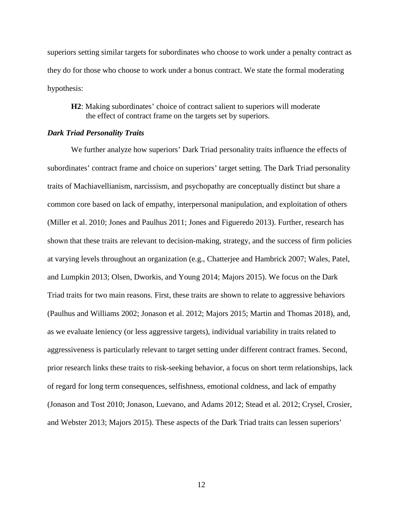superiors setting similar targets for subordinates who choose to work under a penalty contract as they do for those who choose to work under a bonus contract. We state the formal moderating hypothesis:

**H2**: Making subordinates' choice of contract salient to superiors will moderate the effect of contract frame on the targets set by superiors.

#### *Dark Triad Personality Traits*

We further analyze how superiors' Dark Triad personality traits influence the effects of subordinates' contract frame and choice on superiors' target setting. The Dark Triad personality traits of Machiavellianism, narcissism, and psychopathy are conceptually distinct but share a common core based on lack of empathy, interpersonal manipulation, and exploitation of others (Miller et al. 2010; Jones and Paulhus 2011; Jones and Figueredo 2013). Further, research has shown that these traits are relevant to decision-making, strategy, and the success of firm policies at varying levels throughout an organization (e.g., Chatterjee and Hambrick 2007; Wales, Patel, and Lumpkin 2013; Olsen, Dworkis, and Young 2014; Majors 2015). We focus on the Dark Triad traits for two main reasons. First, these traits are shown to relate to aggressive behaviors (Paulhus and Williams 2002; Jonason et al. 2012; Majors 2015; Martin and Thomas 2018), and, as we evaluate leniency (or less aggressive targets), individual variability in traits related to aggressiveness is particularly relevant to target setting under different contract frames. Second, prior research links these traits to risk-seeking behavior, a focus on short term relationships, lack of regard for long term consequences, selfishness, emotional coldness, and lack of empathy (Jonason and Tost 2010; Jonason, Luevano, and Adams 2012; Stead et al. 2012; Crysel, Crosier, and Webster 2013; Majors 2015). These aspects of the Dark Triad traits can lessen superiors'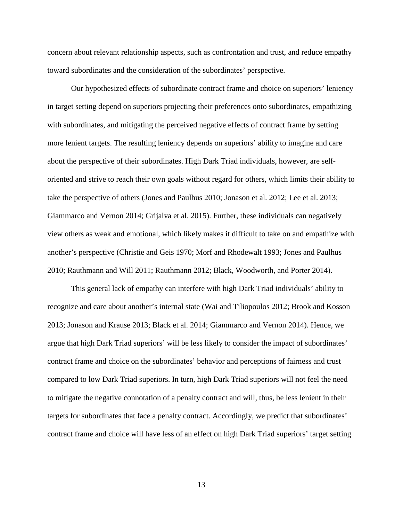concern about relevant relationship aspects, such as confrontation and trust, and reduce empathy toward subordinates and the consideration of the subordinates' perspective.

Our hypothesized effects of subordinate contract frame and choice on superiors' leniency in target setting depend on superiors projecting their preferences onto subordinates, empathizing with subordinates, and mitigating the perceived negative effects of contract frame by setting more lenient targets. The resulting leniency depends on superiors' ability to imagine and care about the perspective of their subordinates. High Dark Triad individuals, however, are selforiented and strive to reach their own goals without regard for others, which limits their ability to take the perspective of others (Jones and Paulhus 2010; Jonason et al. 2012; Lee et al. 2013; Giammarco and Vernon 2014; Grijalva et al. 2015). Further, these individuals can negatively view others as weak and emotional, which likely makes it difficult to take on and empathize with another's perspective (Christie and Geis 1970; Morf and Rhodewalt 1993; Jones and Paulhus 2010; Rauthmann and Will 2011; Rauthmann 2012; Black, Woodworth, and Porter 2014).

This general lack of empathy can interfere with high Dark Triad individuals' ability to recognize and care about another's internal state (Wai and Tiliopoulos 2012; Brook and Kosson 2013; Jonason and Krause 2013; Black et al. 2014; Giammarco and Vernon 2014). Hence, we argue that high Dark Triad superiors' will be less likely to consider the impact of subordinates' contract frame and choice on the subordinates' behavior and perceptions of fairness and trust compared to low Dark Triad superiors. In turn, high Dark Triad superiors will not feel the need to mitigate the negative connotation of a penalty contract and will, thus, be less lenient in their targets for subordinates that face a penalty contract. Accordingly, we predict that subordinates' contract frame and choice will have less of an effect on high Dark Triad superiors' target setting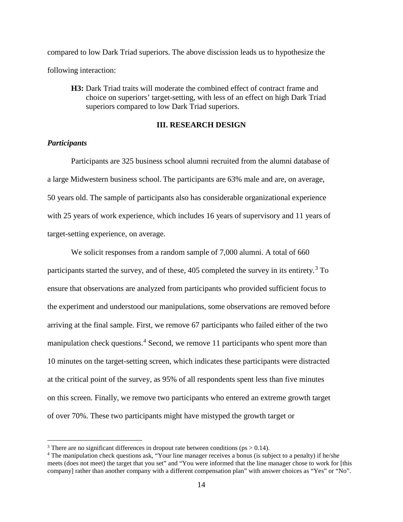compared to low Dark Triad superiors. The above discission leads us to hypothesize the following interaction:

**H3:** Dark Triad traits will moderate the combined effect of contract frame and choice on superiors' target-setting, with less of an effect on high Dark Triad superiors compared to low Dark Triad superiors.

#### **III. RESEARCH DESIGN**

#### *Participants*

Participants are 325 business school alumni recruited from the alumni database of a large Midwestern business school. The participants are 63% male and are, on average, 50 years old. The sample of participants also has considerable organizational experience with 25 years of work experience, which includes 16 years of supervisory and 11 years of target-setting experience, on average.

We solicit responses from a random sample of 7,000 alumni. A total of 660 participants started the survey, and of these, 405 completed the survey in its entirety.[3](#page-14-0) To ensure that observations are analyzed from participants who provided sufficient focus to the experiment and understood our manipulations, some observations are removed before arriving at the final sample. First, we remove 67 participants who failed either of the two manipulation check questions.<sup>[4](#page-14-1)</sup> Second, we remove 11 participants who spent more than 10 minutes on the target-setting screen, which indicates these participants were distracted at the critical point of the survey, as 95% of all respondents spent less than five minutes on this screen. Finally, we remove two participants who entered an extreme growth target of over 70%. These two participants might have mistyped the growth target or

<span id="page-14-0"></span><sup>&</sup>lt;sup>3</sup> There are no significant differences in dropout rate between conditions ( $ps > 0.14$ ).

<span id="page-14-1"></span><sup>4</sup> The manipulation check questions ask, "Your line manager receives a bonus (is subject to a penalty) if he/she meets (does not meet) the target that you set" and "You were informed that the line manager chose to work for [this company] rather than another company with a different compensation plan" with answer choices as "Yes" or "No".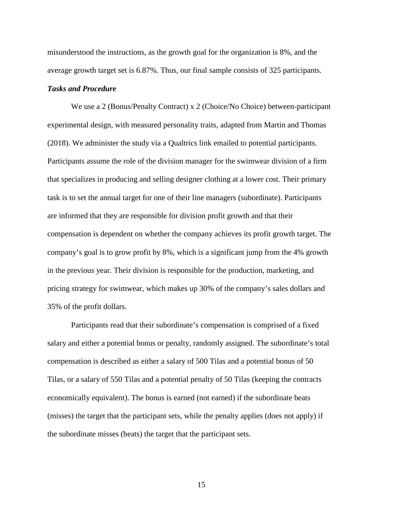misunderstood the instructions, as the growth goal for the organization is 8%, and the average growth target set is 6.87%. Thus, our final sample consists of 325 participants.

### *Tasks and Procedure*

We use a 2 (Bonus/Penalty Contract) x 2 (Choice/No Choice) between-participant experimental design, with measured personality traits, adapted from Martin and Thomas (2018). We administer the study via a Qualtrics link emailed to potential participants. Participants assume the role of the division manager for the swimwear division of a firm that specializes in producing and selling designer clothing at a lower cost. Their primary task is to set the annual target for one of their line managers (subordinate). Participants are informed that they are responsible for division profit growth and that their compensation is dependent on whether the company achieves its profit growth target. The company's goal is to grow profit by 8%, which is a significant jump from the 4% growth in the previous year. Their division is responsible for the production, marketing, and pricing strategy for swimwear, which makes up 30% of the company's sales dollars and 35% of the profit dollars.

Participants read that their subordinate's compensation is comprised of a fixed salary and either a potential bonus or penalty, randomly assigned. The subordinate's total compensation is described as either a salary of 500 Tilas and a potential bonus of 50 Tilas, or a salary of 550 Tilas and a potential penalty of 50 Tilas (keeping the contracts economically equivalent). The bonus is earned (not earned) if the subordinate beats (misses) the target that the participant sets, while the penalty applies (does not apply) if the subordinate misses (beats) the target that the participant sets.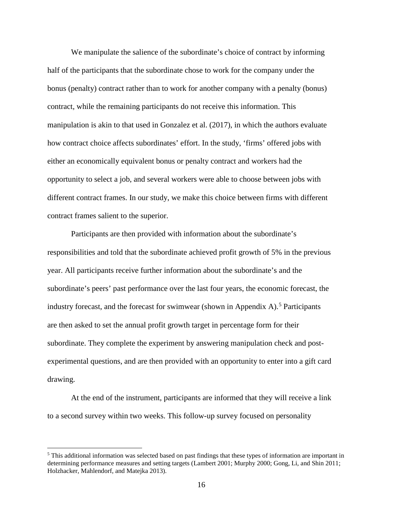We manipulate the salience of the subordinate's choice of contract by informing half of the participants that the subordinate chose to work for the company under the bonus (penalty) contract rather than to work for another company with a penalty (bonus) contract, while the remaining participants do not receive this information. This manipulation is akin to that used in Gonzalez et al. (2017), in which the authors evaluate how contract choice affects subordinates' effort. In the study, 'firms' offered jobs with either an economically equivalent bonus or penalty contract and workers had the opportunity to select a job, and several workers were able to choose between jobs with different contract frames. In our study, we make this choice between firms with different contract frames salient to the superior.

Participants are then provided with information about the subordinate's responsibilities and told that the subordinate achieved profit growth of 5% in the previous year. All participants receive further information about the subordinate's and the subordinate's peers' past performance over the last four years, the economic forecast, the industry forecast, and the forecast for swimwear (shown in Appendix A). [5](#page-16-0) Participants are then asked to set the annual profit growth target in percentage form for their subordinate. They complete the experiment by answering manipulation check and postexperimental questions, and are then provided with an opportunity to enter into a gift card drawing.

At the end of the instrument, participants are informed that they will receive a link to a second survey within two weeks. This follow-up survey focused on personality

<span id="page-16-0"></span> <sup>5</sup> This additional information was selected based on past findings that these types of information are important in determining performance measures and setting targets (Lambert 2001; Murphy 2000; Gong, Li, and Shin 2011; Holzhacker, Mahlendorf, and Matejka 2013).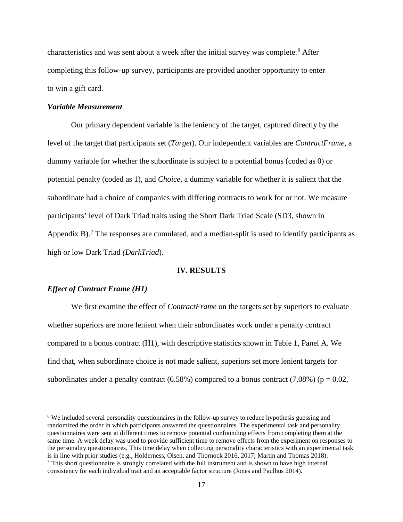characteristics and was sent about a week after the initial survey was complete.<sup>[6](#page-17-0)</sup> After completing this follow-up survey, participants are provided another opportunity to enter to win a gift card.

#### *Variable Measurement*

Our primary dependent variable is the leniency of the target, captured directly by the level of the target that participants set (*Target*). Our independent variables are *ContractFrame,* a dummy variable for whether the subordinate is subject to a potential bonus (coded as 0) or potential penalty (coded as 1), and *Choice,* a dummy variable for whether it is salient that the subordinate had a choice of companies with differing contracts to work for or not. We measure participants' level of Dark Triad traits using the Short Dark Triad Scale (SD3, shown in Appendix B).<sup>[7](#page-17-1)</sup> The responses are cumulated, and a median-split is used to identify participants as high or low Dark Triad *(DarkTriad*).

#### **IV. RESULTS**

#### *Effect of Contract Frame (H1)*

We first examine the effect of *ContractFrame* on the targets set by superiors to evaluate whether superiors are more lenient when their subordinates work under a penalty contract compared to a bonus contract (H1), with descriptive statistics shown in Table 1, Panel A. We find that, when subordinate choice is not made salient, superiors set more lenient targets for subordinates under a penalty contract  $(6.58\%)$  compared to a bonus contract  $(7.08\%)$  ( $p = 0.02$ ,

<span id="page-17-1"></span><span id="page-17-0"></span> <sup>6</sup> We included several personality questionnaires in the follow-up survey to reduce hypothesis guessing and randomized the order in which participants answered the questionnaires. The experimental task and personality questionnaires were sent at different times to remove potential confounding effects from completing them at the same time. A week delay was used to provide sufficient time to remove effects from the experiment on responses to the personality questionnaires. This time delay when collecting personality characteristics with an experimental task is in line with prior studies (e.g., Holderness, Olsen, and Thornock 2016, 2017; Martin and Thomas 2018). <sup>7</sup> This short questionnaire is strongly correlated with the full instrument and is shown to have high internal consistency for each individual trait and an acceptable factor structure (Jones and Paulhus 2014).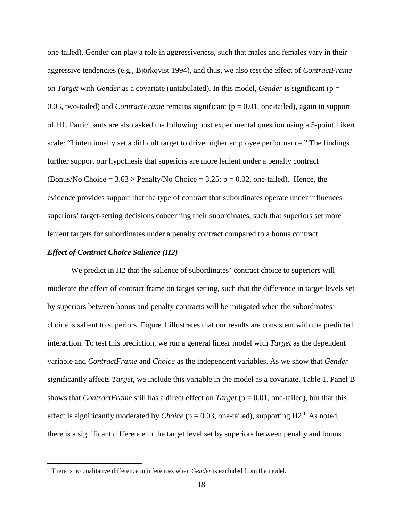one-tailed). Gender can play a role in aggressiveness, such that males and females vary in their aggressive tendencies (e.g., Björkqvist 1994), and thus, we also test the effect of *ContractFrame* on *Target* with *Gender* as a covariate (untabulated). In this model, *Gender* is significant (p = 0.03, two-tailed) and *ContractFrame* remains significant (p = 0.01, one-tailed), again in support of H1. Participants are also asked the following post experimental question using a 5-point Likert scale: "I intentionally set a difficult target to drive higher employee performance." The findings further support our hypothesis that superiors are more lenient under a penalty contract (Bonus/No Choice  $= 3.63$  > Penalty/No Choice  $= 3.25$ ;  $p = 0.02$ , one-tailed). Hence, the evidence provides support that the type of contract that subordinates operate under influences superiors' target-setting decisions concerning their subordinates, such that superiors set more lenient targets for subordinates under a penalty contract compared to a bonus contract.

#### *Effect of Contract Choice Salience (H2)*

We predict in H2 that the salience of subordinates' contract choice to superiors will moderate the effect of contract frame on target setting, such that the difference in target levels set by superiors between bonus and penalty contracts will be mitigated when the subordinates' choice is salient to superiors. Figure 1 illustrates that our results are consistent with the predicted interaction. To test this prediction, we run a general linear model with *Target* as the dependent variable and *ContractFrame* and *Choice* as the independent variables. As we show that *Gender*  significantly affects *Target*, we include this variable in the model as a covariate. Table 1, Panel B shows that *ContractFrame* still has a direct effect on *Target* (p = 0.01, one-tailed), but that this effect is significantly moderated by *Choice* ( $p = 0.03$ , one-tailed), supporting H2.<sup>[8](#page-18-0)</sup> As noted, there is a significant difference in the target level set by superiors between penalty and bonus

<span id="page-18-0"></span> <sup>8</sup> There is no qualitative difference in inferences when *Gender* is excluded from the model.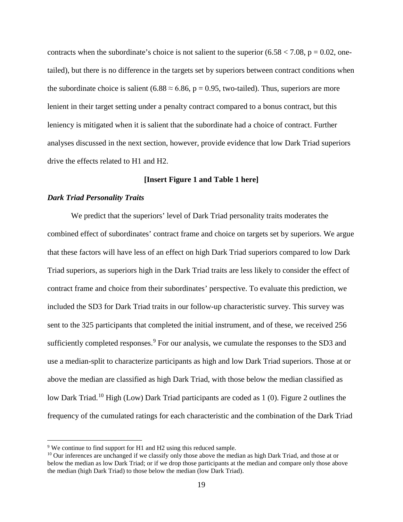contracts when the subordinate's choice is not salient to the superior  $(6.58 < 7.08, p = 0.02, one$ tailed), but there is no difference in the targets set by superiors between contract conditions when the subordinate choice is salient (6.88  $\approx$  6.86, p = 0.95, two-tailed). Thus, superiors are more lenient in their target setting under a penalty contract compared to a bonus contract, but this leniency is mitigated when it is salient that the subordinate had a choice of contract. Further analyses discussed in the next section, however, provide evidence that low Dark Triad superiors drive the effects related to H1 and H2.

#### **[Insert Figure 1 and Table 1 here]**

#### *Dark Triad Personality Traits*

We predict that the superiors' level of Dark Triad personality traits moderates the combined effect of subordinates' contract frame and choice on targets set by superiors. We argue that these factors will have less of an effect on high Dark Triad superiors compared to low Dark Triad superiors, as superiors high in the Dark Triad traits are less likely to consider the effect of contract frame and choice from their subordinates' perspective. To evaluate this prediction, we included the SD3 for Dark Triad traits in our follow-up characteristic survey. This survey was sent to the 325 participants that completed the initial instrument, and of these, we received 256 sufficiently completed responses.<sup>[9](#page-19-0)</sup> For our analysis, we cumulate the responses to the SD3 and use a median-split to characterize participants as high and low Dark Triad superiors. Those at or above the median are classified as high Dark Triad, with those below the median classified as low Dark Triad.<sup>[10](#page-19-1)</sup> High (Low) Dark Triad participants are coded as 1 (0). Figure 2 outlines the frequency of the cumulated ratings for each characteristic and the combination of the Dark Triad

<span id="page-19-0"></span> $9$  We continue to find support for H1 and H2 using this reduced sample.

<span id="page-19-1"></span><sup>&</sup>lt;sup>10</sup> Our inferences are unchanged if we classify only those above the median as high Dark Triad, and those at or below the median as low Dark Triad; or if we drop those participants at the median and compare only those above the median (high Dark Triad) to those below the median (low Dark Triad).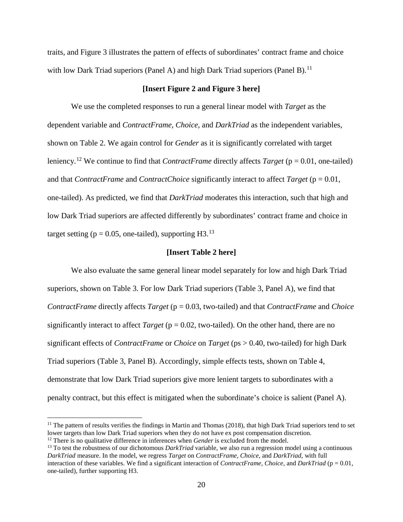traits, and Figure 3 illustrates the pattern of effects of subordinates' contract frame and choice with low Dark Triad superiors (Panel A) and high Dark Triad superiors (Panel B).<sup>[11](#page-20-0)</sup>

#### **[Insert Figure 2 and Figure 3 here]**

We use the completed responses to run a general linear model with *Target* as the dependent variable and *ContractFrame, Choice,* and *DarkTriad* as the independent variables, shown on Table 2. We again control for *Gender* as it is significantly correlated with target leniency. [12](#page-20-1) We continue to find that *ContractFrame* directly affects *Target* (p = 0.01, one-tailed) and that *ContractFrame* and *ContractChoice* significantly interact to affect *Target* (p = 0.01, one-tailed). As predicted, we find that *DarkTriad* moderates this interaction, such that high and low Dark Triad superiors are affected differently by subordinates' contract frame and choice in target setting ( $p = 0.05$ , one-tailed), supporting H3.<sup>[13](#page-20-2)</sup>

#### **[Insert Table 2 here]**

We also evaluate the same general linear model separately for low and high Dark Triad superiors, shown on Table 3. For low Dark Triad superiors (Table 3, Panel A), we find that *ContractFrame* directly affects *Target* (p = 0.03, two-tailed) and that *ContractFrame* and *Choice*  significantly interact to affect *Target* ( $p = 0.02$ , two-tailed). On the other hand, there are no significant effects of *ContractFrame* or *Choice* on *Target* (ps > 0.40, two-tailed) for high Dark Triad superiors (Table 3, Panel B). Accordingly, simple effects tests, shown on Table 4, demonstrate that low Dark Triad superiors give more lenient targets to subordinates with a penalty contract, but this effect is mitigated when the subordinate's choice is salient (Panel A).

<span id="page-20-0"></span> $11$  The pattern of results verifies the findings in Martin and Thomas (2018), that high Dark Triad superiors tend to set lower targets than low Dark Triad superiors when they do not have ex post compensation discretion.

<span id="page-20-1"></span><sup>&</sup>lt;sup>12</sup> There is no qualitative difference in inferences when *Gender* is excluded from the model.

<span id="page-20-2"></span><sup>&</sup>lt;sup>13</sup> To test the robustness of our dichotomous *DarkTriad* variable, we also run a regression model using a continuous *DarkTriad* measure. In the model, we regress *Target* on *ContractFrame, Choice,* and *DarkTriad*, with full interaction of these variables. We find a significant interaction of *ContractFrame, Choice,* and *DarkTriad* (p = 0.01, one-tailed), further supporting H3.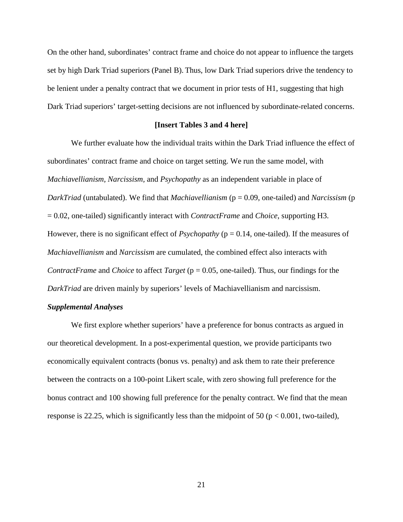On the other hand, subordinates' contract frame and choice do not appear to influence the targets set by high Dark Triad superiors (Panel B). Thus, low Dark Triad superiors drive the tendency to be lenient under a penalty contract that we document in prior tests of H1, suggesting that high Dark Triad superiors' target-setting decisions are not influenced by subordinate-related concerns.

#### **[Insert Tables 3 and 4 here]**

We further evaluate how the individual traits within the Dark Triad influence the effect of subordinates' contract frame and choice on target setting. We run the same model, with *Machiavellianism, Narcissism,* and *Psychopathy* as an independent variable in place of *DarkTriad* (untabulated). We find that *Machiavellianism* (p = 0.09, one-tailed) and *Narcissism* (p = 0.02, one-tailed) significantly interact with *ContractFrame* and *Choice*, supporting H3. However, there is no significant effect of *Psychopathy* ( $p = 0.14$ , one-tailed). If the measures of *Machiavellianism* and *Narcissism* are cumulated, the combined effect also interacts with *ContractFrame* and *Choice* to affect *Target* ( $p = 0.05$ , one-tailed). Thus, our findings for the *DarkTriad* are driven mainly by superiors' levels of Machiavellianism and narcissism.

#### *Supplemental Analyses*

We first explore whether superiors' have a preference for bonus contracts as argued in our theoretical development. In a post-experimental question, we provide participants two economically equivalent contracts (bonus vs. penalty) and ask them to rate their preference between the contracts on a 100-point Likert scale, with zero showing full preference for the bonus contract and 100 showing full preference for the penalty contract. We find that the mean response is 22.25, which is significantly less than the midpoint of 50 ( $p < 0.001$ , two-tailed),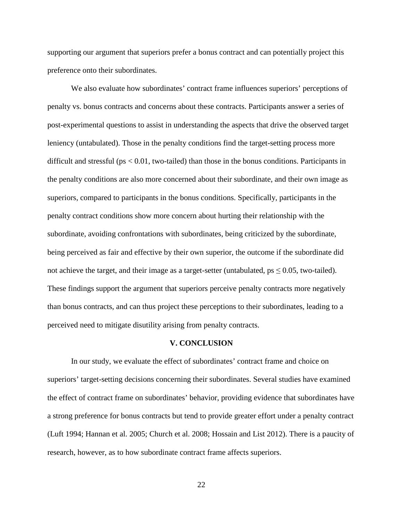supporting our argument that superiors prefer a bonus contract and can potentially project this preference onto their subordinates.

We also evaluate how subordinates' contract frame influences superiors' perceptions of penalty vs. bonus contracts and concerns about these contracts. Participants answer a series of post-experimental questions to assist in understanding the aspects that drive the observed target leniency (untabulated). Those in the penalty conditions find the target-setting process more difficult and stressful ( $ps < 0.01$ , two-tailed) than those in the bonus conditions. Participants in the penalty conditions are also more concerned about their subordinate, and their own image as superiors, compared to participants in the bonus conditions. Specifically, participants in the penalty contract conditions show more concern about hurting their relationship with the subordinate, avoiding confrontations with subordinates, being criticized by the subordinate, being perceived as fair and effective by their own superior, the outcome if the subordinate did not achieve the target, and their image as a target-setter (untabulated,  $ps \le 0.05$ , two-tailed). These findings support the argument that superiors perceive penalty contracts more negatively than bonus contracts, and can thus project these perceptions to their subordinates, leading to a perceived need to mitigate disutility arising from penalty contracts.

#### **V. CONCLUSION**

In our study, we evaluate the effect of subordinates' contract frame and choice on superiors' target-setting decisions concerning their subordinates. Several studies have examined the effect of contract frame on subordinates' behavior, providing evidence that subordinates have a strong preference for bonus contracts but tend to provide greater effort under a penalty contract (Luft 1994; [Hannan et al. 2005;](#page-29-0) [Church et al. 2008;](#page-28-0) [Hossain and List 2012\)](#page-29-1). There is a paucity of research, however, as to how subordinate contract frame affects superiors.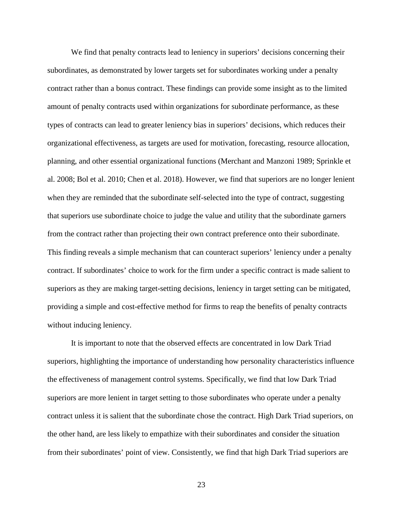We find that penalty contracts lead to leniency in superiors' decisions concerning their subordinates, as demonstrated by lower targets set for subordinates working under a penalty contract rather than a bonus contract. These findings can provide some insight as to the limited amount of penalty contracts used within organizations for subordinate performance, as these types of contracts can lead to greater leniency bias in superiors' decisions, which reduces their organizational effectiveness, as targets are used for motivation, forecasting, resource allocation, planning, and other essential organizational functions (Merchant and Manzoni 1989; Sprinkle et al. 2008; Bol et al. 2010; Chen et al. 2018). However, we find that superiors are no longer lenient when they are reminded that the subordinate self-selected into the type of contract, suggesting that superiors use subordinate choice to judge the value and utility that the subordinate garners from the contract rather than projecting their own contract preference onto their subordinate. This finding reveals a simple mechanism that can counteract superiors' leniency under a penalty contract. If subordinates' choice to work for the firm under a specific contract is made salient to superiors as they are making target-setting decisions, leniency in target setting can be mitigated, providing a simple and cost-effective method for firms to reap the benefits of penalty contracts without inducing leniency.

It is important to note that the observed effects are concentrated in low Dark Triad superiors, highlighting the importance of understanding how personality characteristics influence the effectiveness of management control systems. Specifically, we find that low Dark Triad superiors are more lenient in target setting to those subordinates who operate under a penalty contract unless it is salient that the subordinate chose the contract. High Dark Triad superiors, on the other hand, are less likely to empathize with their subordinates and consider the situation from their subordinates' point of view. Consistently, we find that high Dark Triad superiors are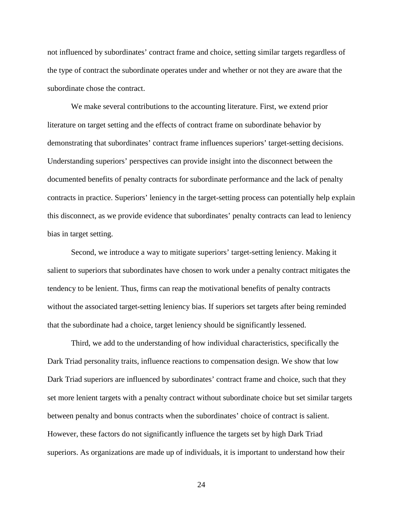not influenced by subordinates' contract frame and choice, setting similar targets regardless of the type of contract the subordinate operates under and whether or not they are aware that the subordinate chose the contract.

We make several contributions to the accounting literature. First, we extend prior literature on target setting and the effects of contract frame on subordinate behavior by demonstrating that subordinates' contract frame influences superiors' target-setting decisions. Understanding superiors' perspectives can provide insight into the disconnect between the documented benefits of penalty contracts for subordinate performance and the lack of penalty contracts in practice. Superiors' leniency in the target-setting process can potentially help explain this disconnect, as we provide evidence that subordinates' penalty contracts can lead to leniency bias in target setting.

Second, we introduce a way to mitigate superiors' target-setting leniency. Making it salient to superiors that subordinates have chosen to work under a penalty contract mitigates the tendency to be lenient. Thus, firms can reap the motivational benefits of penalty contracts without the associated target-setting leniency bias. If superiors set targets after being reminded that the subordinate had a choice, target leniency should be significantly lessened.

Third, we add to the understanding of how individual characteristics, specifically the Dark Triad personality traits, influence reactions to compensation design. We show that low Dark Triad superiors are influenced by subordinates' contract frame and choice, such that they set more lenient targets with a penalty contract without subordinate choice but set similar targets between penalty and bonus contracts when the subordinates' choice of contract is salient. However, these factors do not significantly influence the targets set by high Dark Triad superiors. As organizations are made up of individuals, it is important to understand how their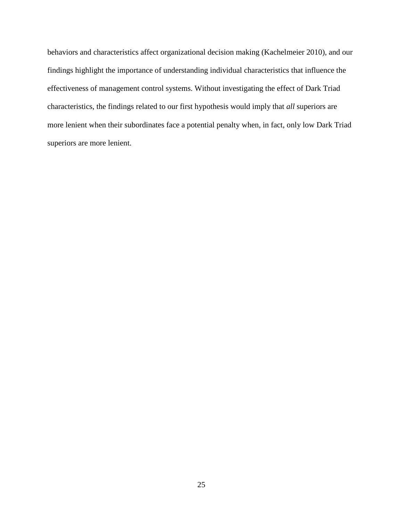behaviors and characteristics affect organizational decision making (Kachelmeier 2010), and our findings highlight the importance of understanding individual characteristics that influence the effectiveness of management control systems. Without investigating the effect of Dark Triad characteristics, the findings related to our first hypothesis would imply that *all* superiors are more lenient when their subordinates face a potential penalty when, in fact, only low Dark Triad superiors are more lenient.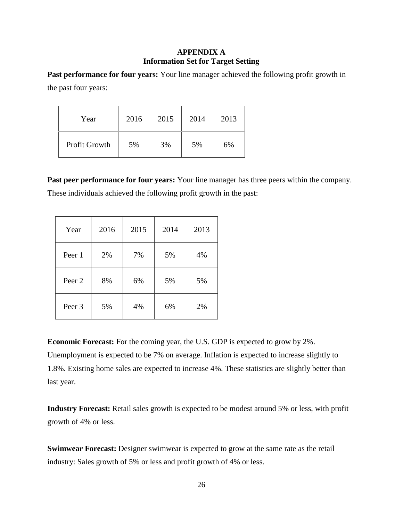# **APPENDIX A Information Set for Target Setting**

**Past performance for four years:** Your line manager achieved the following profit growth in the past four years:

| Year          | 2016 | 2015 | 2014 | 2013 |
|---------------|------|------|------|------|
| Profit Growth | 5%   | 3%   | 5%   | 6%   |

**Past peer performance for four years:** Your line manager has three peers within the company. These individuals achieved the following profit growth in the past:

| Year   | 2016 | 2015 | 2014 | 2013 |
|--------|------|------|------|------|
| Peer 1 | 2%   | 7%   | 5%   | 4%   |
| Peer 2 | 8%   | 6%   | 5%   | 5%   |
| Peer 3 | 5%   | 4%   | 6%   | 2%   |

**Economic Forecast:** For the coming year, the U.S. GDP is expected to grow by 2%. Unemployment is expected to be 7% on average. Inflation is expected to increase slightly to 1.8%. Existing home sales are expected to increase 4%. These statistics are slightly better than last year.

**Industry Forecast:** Retail sales growth is expected to be modest around 5% or less, with profit growth of 4% or less.

**Swimwear Forecast:** Designer swimwear is expected to grow at the same rate as the retail industry: Sales growth of 5% or less and profit growth of 4% or less.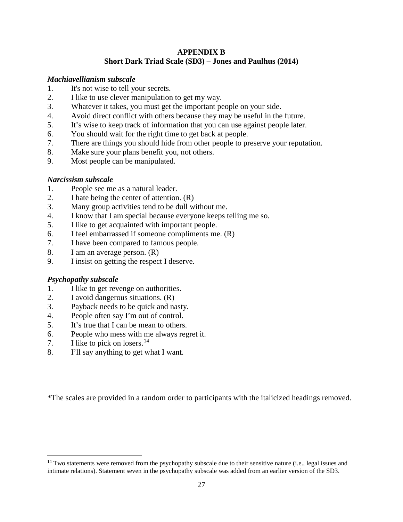# **APPENDIX B Short Dark Triad Scale (SD3) – Jones and Paulhus (2014)**

### *Machiavellianism subscale*

- 1. It's not wise to tell your secrets.
- 2. I like to use clever manipulation to get my way.
- 3. Whatever it takes, you must get the important people on your side.
- 4. Avoid direct conflict with others because they may be useful in the future.
- 5. It's wise to keep track of information that you can use against people later.
- 6. You should wait for the right time to get back at people.
- 7. There are things you should hide from other people to preserve your reputation.
- 8. Make sure your plans benefit you, not others.
- 9. Most people can be manipulated.

# *Narcissism subscale*

- 1. People see me as a natural leader.
- 2. I hate being the center of attention. (R)
- 3. Many group activities tend to be dull without me.
- 4. I know that I am special because everyone keeps telling me so.
- 5. I like to get acquainted with important people.
- 6. I feel embarrassed if someone compliments me. (R)
- 7. I have been compared to famous people.
- 8. I am an average person. (R)
- 9. I insist on getting the respect I deserve.

# *Psychopathy subscale*

- 1. I like to get revenge on authorities.
- 2. I avoid dangerous situations. (R)
- 3. Payback needs to be quick and nasty.
- 4. People often say I'm out of control.
- 5. It's true that I can be mean to others.
- 6. People who mess with me always regret it.
- 7. I like to pick on losers.  $14$
- 8. I'll say anything to get what I want.

\*The scales are provided in a random order to participants with the italicized headings removed.

<span id="page-27-0"></span> $14$  Two statements were removed from the psychopathy subscale due to their sensitive nature (i.e., legal issues and intimate relations). Statement seven in the psychopathy subscale was added from an earlier version of the SD3.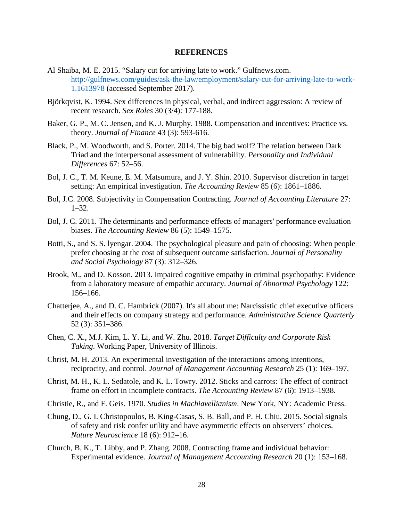#### **REFERENCES**

- Al Shaiba, M. E. 2015. "Salary cut for arriving late to work." Gulfnews.com. [http://gulfnews.com/guides/ask-the-law/employment/salary-cut-for-arriving-late-to-work-](http://gulfnews.com/guides/ask-the-law/employment/salary-cut-for-arriving-late-to-work-1.1613978)[1.1613978](http://gulfnews.com/guides/ask-the-law/employment/salary-cut-for-arriving-late-to-work-1.1613978) (accessed September 2017).
- Björkqvist, K. 1994. Sex differences in physical, verbal, and indirect aggression: A review of recent research. *Sex Roles* 30 (3/4): 177-188.
- Baker, G. P., M. C. Jensen, and K. J. Murphy. 1988. Compensation and incentives: Practice vs. theory. *Journal of Finance* 43 (3): 593-616.
- Black, P., M. Woodworth, and S. Porter. 2014. The big bad wolf? The relation between Dark Triad and the interpersonal assessment of vulnerability. *Personality and Individual Differences* 67: 52–56.
- Bol, J. C., T. M. Keune, E. M. Matsumura, and J. Y. Shin. 2010. Supervisor discretion in target setting: An empirical investigation. *The Accounting Review* 85 (6): 1861–1886.
- Bol, J.C. 2008. Subjectivity in Compensation Contracting. *Journal of Accounting Literature* 27: 1–32.
- Bol, J. C. 2011. The determinants and performance effects of managers' performance evaluation biases. *The Accounting Review* 86 (5): 1549–1575.
- Botti, S., and S. S. lyengar. 2004. The psychological pleasure and pain of choosing: When people prefer choosing at the cost of subsequent outcome satisfaction. *Journal of Personality and Social Psychology* 87 (3): 312–326.
- Brook, M., and D. Kosson. 2013. Impaired cognitive empathy in criminal psychopathy: Evidence from a laboratory measure of empathic accuracy. *Journal of Abnormal Psychology* 122: 156–166.
- Chatterjee, A., and D. C. Hambrick (2007). It's all about me: Narcissistic chief executive officers and their effects on company strategy and performance. *Administrative Science Quarterly* 52 (3): 351–386.
- Chen, C. X., M.J. Kim, L. Y. Li, and W. Zhu. 2018. *Target Difficulty and Corporate Risk Taking*. Working Paper, University of Illinois.
- Christ, M. H. 2013. An experimental investigation of the interactions among intentions, reciprocity, and control. *Journal of Management Accounting Research* 25 (1): 169–197.
- Christ, M. H., K. L. Sedatole, and K. L. Towry. 2012. Sticks and carrots: The effect of contract frame on effort in incomplete contracts. *The Accounting Review* 87 (6): 1913–1938.
- <span id="page-28-0"></span>Christie, R., and F. Geis. 1970. *Studies in Machiavellianism*. New York, NY: Academic Press.
- Chung, D., G. I. Christopoulos, B. King-Casas, S. B. Ball, and P. H. Chiu. 2015. Social signals of safety and risk confer utility and have asymmetric effects on observers' choices. *Nature Neuroscience* 18 (6): 912–16.
- Church, B. K., T. Libby, and P. Zhang. 2008. Contracting frame and individual behavior: Experimental evidence. *Journal of Management Accounting Research* 20 (1): 153–168.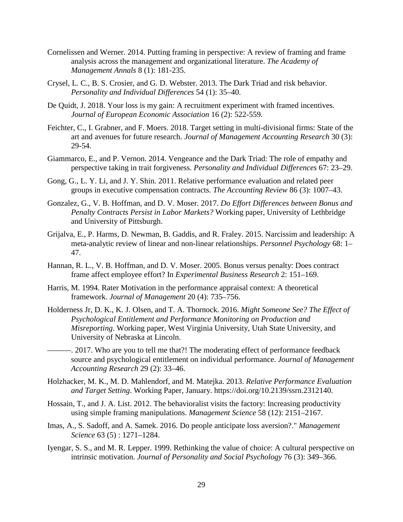- Cornelissen and Werner. 2014. Putting framing in perspective: A review of framing and frame analysis across the management and organizational literature. *The Academy of Management Annals* 8 (1): 181-235.
- Crysel, L. C., B. S. Crosier, and G. D. Webster. 2013. The Dark Triad and risk behavior. *Personality and Individual Differences* 54 (1): 35–40.
- De Quidt, J. 2018. Your loss is my gain: A recruitment experiment with framed incentives. *Journal of European Economic Association* 16 (2): 522-559.
- Feichter, C., I. Grabner, and F. Moers. 2018. Target setting in multi-divisional firms: State of the art and avenues for future research. *Journal of Management Accounting Research* 30 (3): 29-54.
- Giammarco, E., and P. Vernon. 2014. Vengeance and the Dark Triad: The role of empathy and perspective taking in trait forgiveness. *Personality and Individual Differences* 67: 23–29.
- Gong, G., L. Y. Li, and J. Y. Shin. 2011. Relative performance evaluation and related peer groups in executive compensation contracts. *The Accounting Review* 86 (3): 1007–43.
- Gonzalez, G., V. B. Hoffman, and D. V. Moser. 2017. *Do Effort Differences between Bonus and Penalty Contracts Persist in Labor Markets?* Working paper, University of Lethbridge and University of Pittsburgh.
- <span id="page-29-0"></span>Grijalva, E., P. Harms, D. Newman, B. Gaddis, and R. Fraley. 2015. Narcissim and leadership: A meta-analytic review of linear and non-linear relationships. *Personnel Psychology* 68: 1– 47.
- Hannan, R. L., V. B. Hoffman, and D. V. Moser. 2005. Bonus versus penalty: Does contract frame affect employee effort? In *Experimental Business Research* 2: 151–169.
- <span id="page-29-1"></span>Harris, M. 1994. Rater Motivation in the performance appraisal context: A theoretical framework. *Journal of Management* 20 (4): 735–756.
- Holderness Jr, D. K., K. J. Olsen, and T. A. Thornock. 2016. *Might Someone See? The Effect of Psychological Entitlement and Performance Monitoring on Production and Misreporting*. Working paper, West Virginia University, Utah State University, and University of Nebraska at Lincoln.
- 2017. Who are you to tell me that?! The moderating effect of performance feedback source and psychological entitlement on individual performance. *Journal of Management Accounting Research* 29 (2): 33–46.
- Holzhacker, M. K., M. D. Mahlendorf, and M. Matejka. 2013. *Relative Performance Evaluation and Target Setting*. Working Paper, January. https://doi.org/10.2139/ssrn.2312140.
- Hossain, T., and J. A. List. 2012. The behavioralist visits the factory: Increasing productivity using simple framing manipulations. *Management Science* 58 (12): 2151–2167.
- Imas, A., S. Sadoff, and A. Samek. 2016. Do people anticipate loss aversion?." *Management Science* 63 (5) : 1271–1284.
- Iyengar, S. S., and M. R. Lepper. 1999. Rethinking the value of choice: A cultural perspective on intrinsic motivation. *Journal of Personality and Social Psychology* 76 (3): 349–366.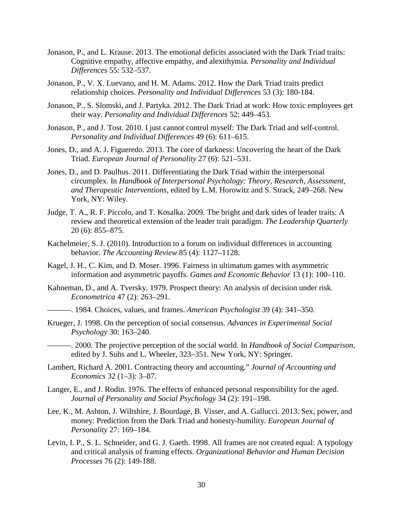- Jonason, P., and L. Krause. 2013. The emotional deficits associated with the Dark Triad traits: Cognitive empathy, affective empathy, and alexithymia. *Personality and Individual Differences* 55: 532–537.
- Jonason, P., V. X. Luevano, and H. M. Adams. 2012. How the Dark Triad traits predict relationship choices. *Personality and Individual Differences* 53 (3): 180-184.
- Jonason, P., S. Slomski, and J. Partyka. 2012. The Dark Triad at work: How toxic employees get their way. *Personality and Individual Differences* 52: 449–453.
- Jonason, P., and J. Tost. 2010. I just cannot control myself: The Dark Triad and self-control. *Personality and Individual Differences* 49 (6): 611–615.
- Jones, D., and A. J. Figueredo. 2013. The core of darkness: Uncovering the heart of the Dark Triad. *European Journal of Personality* 27 (6): 521–531.
- Jones, D., and D. Paulhus. 2011. Differentiating the Dark Triad within the interpersonal circumplex. In *Handbook of Interpersonal Psychology: Theory, Research, Assessment, and Therapeutic Interventions,* edited by L.M. Horowitz and S. Strack, 249–268. New York, NY: Wiley.
- Judge, T. A., R. F. Piccolo, and T. Kosalka. 2009. The bright and dark sides of leader traits: A review and theoretical extension of the leader trait paradigm. *The Leadership Quarterly* 20 (6): 855–875.
- Kachelmeier, S. J. (2010). Introduction to a forum on individual differences in accounting behavior. *The Accounting Review* 85 (4): 1127–1128.
- Kagel, J. H., C. Kim, and D. Moser. 1996. Fairness in ultimatum games with asymmetric information and asymmetric payoffs. *Games and Economic Behavior* 13 (1): 100–110.
- Kahneman, D., and A. Tversky. 1979. Prospect theory: An analysis of decision under risk. *Econometrica* 47 (2): 263–291.
	- ———. 1984. Choices, values, and frames. *American Psychologist* 39 (4): 341–350.
- Krueger, J. 1998. On the perception of social consensus. *Advances in Experimental Social Psychology* 30: 163–240.

———. 2000. The projective perception of the social world. In *Handbook of Social Comparison*, edited by J. Suhs and L. Wheeler, 323–351. New York, NY: Springer.

- Lambert, Richard A. 2001. Contracting theory and accounting." *Journal of Accounting and Economics* 32 (1–3): 3–87.
- Langer, E., and J. Rodin. 1976. The effects of enhanced personal responsibility for the aged. *Journal of Personality and Social Psychology* 34 (2): 191–198.
- Lee, K., M. Ashton, J. Wiltshire, J. Bourdage, B. Visser, and A. Gallucci. 2013. Sex, power, and money: Prediction from the Dark Triad and honesty-humility. *European Journal of Personality* 27: 169–184.
- Levin, I. P., S. L. Schneider, and G. J. Gaeth. 1998. All frames are not created equal: A typology and critical analysis of framing effects. *Organizational Behavior and Human Decision Processes* 76 (2): 149-188.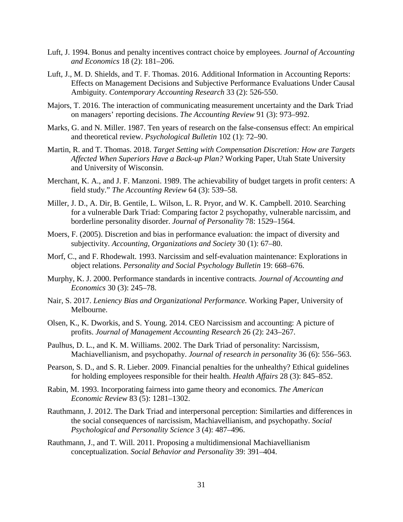- Luft, J. 1994. Bonus and penalty incentives contract choice by employees. *Journal of Accounting and Economics* 18 (2): 181–206.
- Luft, J., M. D. Shields, and T. F. Thomas. 2016. Additional Information in Accounting Reports: Effects on Management Decisions and Subjective Performance Evaluations Under Causal Ambiguity. *Contemporary Accounting Research* 33 (2): 526-550.
- Majors, T. 2016. The interaction of communicating measurement uncertainty and the Dark Triad on managers' reporting decisions. *The Accounting Review* 91 (3): 973–992.
- Marks, G. and N. Miller. 1987. Ten years of research on the false-consensus effect: An empirical and theoretical review. *Psychological Bulletin* 102 (1): 72–90.
- Martin, R. and T. Thomas. 2018. *Target Setting with Compensation Discretion: How are Targets Affected When Superiors Have a Back-up Plan?* Working Paper, Utah State University and University of Wisconsin.
- Merchant, K. A., and J. F. Manzoni. 1989. The achievability of budget targets in profit centers: A field study." *The Accounting Review* 64 (3): 539–58.
- Miller, J. D., A. Dir, B. Gentile, L. Wilson, L. R. Pryor, and W. K. Campbell. 2010. Searching for a vulnerable Dark Triad: Comparing factor 2 psychopathy, vulnerable narcissim, and borderline personality disorder. *Journal of Personality* 78: 1529–1564.
- Moers, F. (2005). Discretion and bias in performance evaluation: the impact of diversity and subjectivity. *Accounting, Organizations and Society* 30 (1): 67–80.
- Morf, C., and F. Rhodewalt. 1993. Narcissim and self-evaluation maintenance: Explorations in object relations. *Personality and Social Psychology Bulletin* 19: 668–676.
- Murphy, K. J. 2000. Performance standards in incentive contracts. *Journal of Accounting and Economics* 30 (3): 245–78.
- Nair, S. 2017. *Leniency Bias and Organizational Performance.* Working Paper, University of Melbourne.
- Olsen, K., K. Dworkis, and S. Young. 2014. CEO Narcissism and accounting: A picture of profits. *Journal of Management Accounting Research* 26 (2): 243–267.
- Paulhus, D. L., and K. M. Williams. 2002. The Dark Triad of personality: Narcissism, Machiavellianism, and psychopathy. *Journal of research in personality* 36 (6): 556–563.
- Pearson, S. D., and S. R. Lieber. 2009. Financial penalties for the unhealthy? Ethical guidelines for holding employees responsible for their health. *Health Affairs* 28 (3): 845–852.
- Rabin, M. 1993. Incorporating fairness into game theory and economics. *The American Economic Review* 83 (5): 1281–1302.
- Rauthmann, J. 2012. The Dark Triad and interpersonal perception: Similarties and differences in the social consequences of narcissism, Machiavellianism, and psychopathy. *Social Psychological and Personality Science* 3 (4): 487–496.
- Rauthmann, J., and T. Will. 2011. Proposing a multidimensional Machiavellianism conceptualization. *Social Behavior and Personality* 39: 391–404.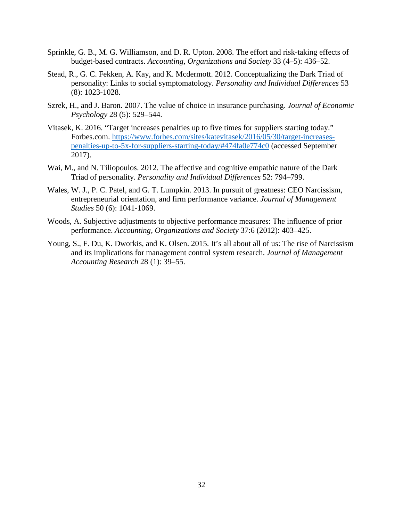- Sprinkle, G. B., M. G. Williamson, and D. R. Upton. 2008. The effort and risk-taking effects of budget-based contracts. *Accounting, Organizations and Society* 33 (4–5): 436–52.
- Stead, R., G. C. Fekken, A. Kay, and K. Mcdermott. 2012. Conceptualizing the Dark Triad of personality: Links to social symptomatology. *Personality and Individual Differences* 53 (8): 1023-1028.
- Szrek, H., and J. Baron. 2007. The value of choice in insurance purchasing. *Journal of Economic Psychology* 28 (5): 529–544.
- Vitasek, K. 2016. "Target increases penalties up to five times for suppliers starting today." Forbes.com. [https://www.forbes.com/sites/katevitasek/2016/05/30/target-increases](https://www.forbes.com/sites/katevitasek/2016/05/30/target-increases-penalties-up-to-5x-for-suppliers-starting-today/#474fa0e774c0)[penalties-up-to-5x-for-suppliers-starting-today/#474fa0e774c0](https://www.forbes.com/sites/katevitasek/2016/05/30/target-increases-penalties-up-to-5x-for-suppliers-starting-today/#474fa0e774c0) (accessed September 2017).
- Wai, M., and N. Tiliopoulos. 2012. The affective and cognitive empathic nature of the Dark Triad of personality. *Personality and Individual Differences* 52: 794–799.
- Wales, W. J., P. C. Patel, and G. T. Lumpkin. 2013. In pursuit of greatness: CEO Narcissism, entrepreneurial orientation, and firm performance variance. *Journal of Management Studies* 50 (6): 1041-1069.
- Woods, A. Subjective adjustments to objective performance measures: The influence of prior performance. *Accounting, Organizations and Society* 37:6 (2012): 403–425.
- Young, S., F. Du, K. Dworkis, and K. Olsen. 2015. It's all about all of us: The rise of Narcissism and its implications for management control system research. *Journal of Management Accounting Research* 28 (1): 39–55.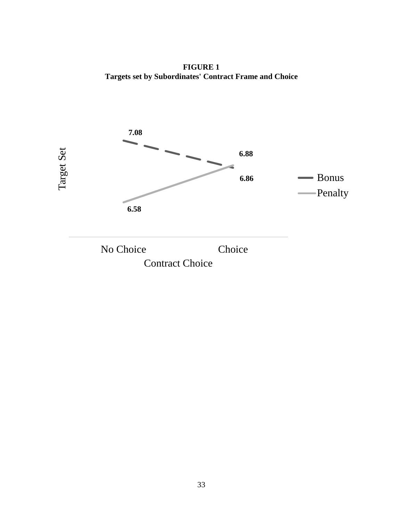**FIGURE 1 Targets set by Subordinates' Contract Frame and Choice**

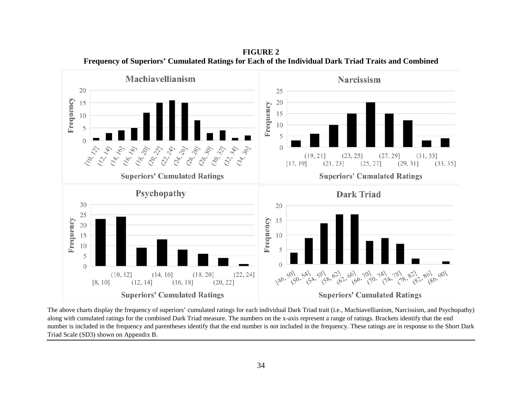

**FIGURE 2 Frequency of Superiors' Cumulated Ratings for Each of the Individual Dark Triad Traits and Combined**

The above charts display the frequency of superiors' cumulated ratings for each individual Dark Triad trait (i.e., Machiavellianism, Narcissism, and Psychopathy) along with cumulated ratings for the combined Dark Triad measure. The numbers on the x-axis represent a range of ratings. Brackets identify that the end number is included in the frequency and parentheses identify that the end number is not included in the frequency. These ratings are in response to the Short Dark Triad Scale (SD3) shown on Appendix B.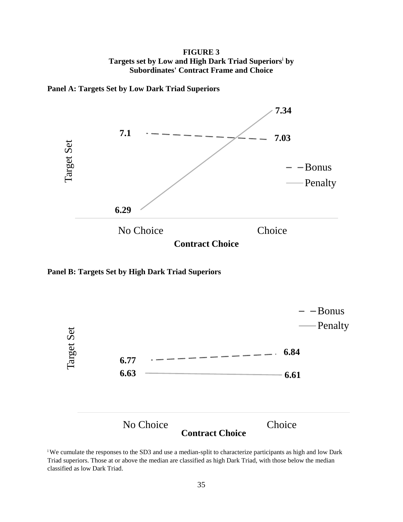**FIGURE 3 Targets set by Low and High Dark Triad Superiors**<sup>i</sup> **by Subordinates' Contract Frame and Choice**



**Panel A: Targets Set by Low Dark Triad Superiors**

**Panel B: Targets Set by High Dark Triad Superiors**



i We cumulate the responses to the SD3 and use a median-split to characterize participants as high and low Dark Triad superiors. Those at or above the median are classified as high Dark Triad, with those below the median classified as low Dark Triad.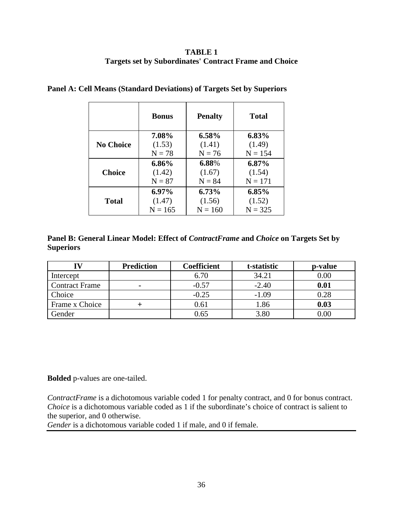# **TABLE 1 Targets set by Subordinates' Contract Frame and Choice**

|                  | <b>Bonus</b> | <b>Penalty</b> | <b>Total</b> |
|------------------|--------------|----------------|--------------|
|                  | 7.08%        | 6.58%          | 6.83%        |
| <b>No Choice</b> | (1.53)       | (1.41)         | (1.49)       |
|                  | $N = 78$     | $N = 76$       | $N = 154$    |
|                  | $6.86\%$     | 6.88%          | $6.87\%$     |
| <b>Choice</b>    | (1.42)       | (1.67)         | (1.54)       |
|                  | $N = 87$     | $N = 84$       | $N = 171$    |
|                  | $6.97\%$     | 6.73%          | 6.85%        |
| Total            | (1.47)       | (1.56)         | (1.52)       |
|                  | $N = 165$    | $N = 160$      | $N = 325$    |

### **Panel A: Cell Means (Standard Deviations) of Targets Set by Superiors**

**Panel B: General Linear Model: Effect of** *ContractFrame* **and** *Choice* **on Targets Set by Superiors**

|                       | <b>Prediction</b> | <b>Coefficient</b> | t-statistic | p-value           |
|-----------------------|-------------------|--------------------|-------------|-------------------|
| Intercept             |                   |                    | 34.21       | $0.00\,$          |
| <b>Contract Frame</b> | $\blacksquare$    | $-0.57$            | $-2.40$     | 0.01              |
| Choice                |                   | $-0.25$            | $-1.09$     | 0.28              |
| Frame x Choice        |                   | 0.61               | 1.86        | 0.03              |
| Gender                |                   | 0.65               | 3.80        | 0.00 <sub>1</sub> |

**Bolded** p-values are one-tailed.

*ContractFrame* is a dichotomous variable coded 1 for penalty contract, and 0 for bonus contract. *Choice* is a dichotomous variable coded as 1 if the subordinate's choice of contract is salient to the superior, and 0 otherwise.

*Gender* is a dichotomous variable coded 1 if male, and 0 if female.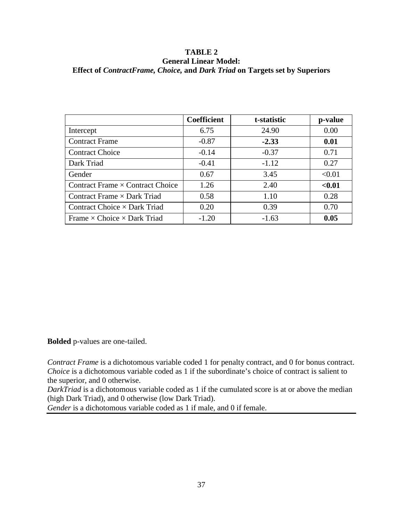# **TABLE 2 General Linear Model: Effect of** *ContractFrame, Choice,* **and** *Dark Triad* **on Targets set by Superiors**

|                                           | <b>Coefficient</b> | t-statistic | p-value |
|-------------------------------------------|--------------------|-------------|---------|
| Intercept                                 | 6.75               | 24.90       | 0.00    |
| <b>Contract Frame</b>                     | $-0.87$            | $-2.33$     | 0.01    |
| <b>Contract Choice</b>                    | $-0.14$            | $-0.37$     | 0.71    |
| Dark Triad                                | $-0.41$            | $-1.12$     | 0.27    |
| Gender                                    | 0.67               | 3.45        | < 0.01  |
| Contract Frame $\times$ Contract Choice   | 1.26               | 2.40        | < 0.01  |
| Contract Frame $\times$ Dark Triad        | 0.58               | 1.10        | 0.28    |
| Contract Choice $\times$ Dark Triad       | 0.20               | 0.39        | 0.70    |
| Frame $\times$ Choice $\times$ Dark Triad | $-1.20$            | $-1.63$     | 0.05    |

**Bolded** p-values are one-tailed.

*Contract Frame* is a dichotomous variable coded 1 for penalty contract, and 0 for bonus contract. *Choice* is a dichotomous variable coded as 1 if the subordinate's choice of contract is salient to the superior, and 0 otherwise.

*DarkTriad* is a dichotomous variable coded as 1 if the cumulated score is at or above the median (high Dark Triad), and 0 otherwise (low Dark Triad).

*Gender* is a dichotomous variable coded as 1 if male, and 0 if female.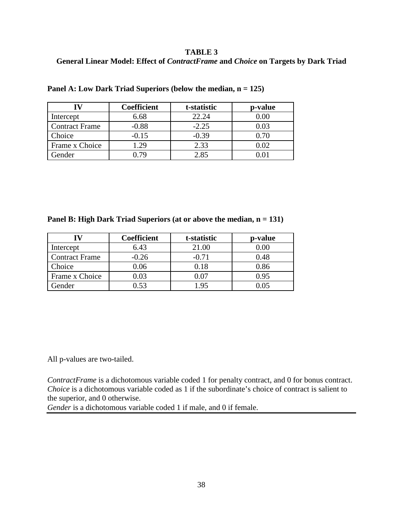## **TABLE 3 General Linear Model: Effect of** *ContractFrame* **and** *Choice* **on Targets by Dark Triad**

|                       | <b>Coefficient</b> | t-statistic | p-value    |
|-----------------------|--------------------|-------------|------------|
| Intercept             | 6.68               | 22.24       |            |
| <b>Contract Frame</b> | $-0.88$            | $-2.25$     | $\rm 0.03$ |
| Choice                | $-0.15$            | $-0.39$     | 0.70       |
| Frame x Choice        | 1.29               | 2.33        | $0.02\,$   |
| Gender                |                    | 2.85        |            |

**Panel A: Low Dark Triad Superiors (below the median, n = 125)**

**Panel B: High Dark Triad Superiors (at or above the median, n = 131)**

|                       | <b>Coefficient</b> | t-statistic | p-value |
|-----------------------|--------------------|-------------|---------|
| Intercept             | 6.43               | 21.00       | (0()    |
| <b>Contract Frame</b> | $-0.26$            | $-0.71$     | 0.48    |
| Choice                | 0.06               | 0.18        | 0.86    |
| Frame x Choice        | $0.03\,$           | 107         | 0.95    |
| Gender                | 0.53               | -95         | ).05    |

All p-values are two-tailed.

*ContractFrame* is a dichotomous variable coded 1 for penalty contract, and 0 for bonus contract. *Choice* is a dichotomous variable coded as 1 if the subordinate's choice of contract is salient to the superior, and 0 otherwise.

*Gender* is a dichotomous variable coded 1 if male, and 0 if female.